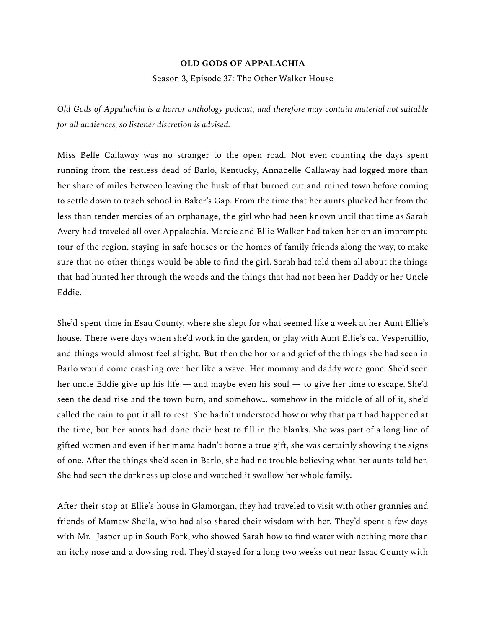## **OLD GODS OF APPALACHIA**

Season 3, Episode 37: The Other Walker House

*Old Gods of Appalachia is a horror anthology podcast, and therefore may contain material not suitable for all audiences, so listener discretion is advised.*

Miss Belle Callaway was no stranger to the open road. Not even counting the days spent running from the restless dead of Barlo, Kentucky, Annabelle Callaway had logged more than her share of miles between leaving the husk of that burned out and ruined town before coming to settle down to teach school in Baker's Gap. From the time that her aunts plucked her from the less than tender mercies of an orphanage, the girl who had been known until that time as Sarah Avery had traveled all over Appalachia. Marcie and Ellie Walker had taken her on an impromptu tour of the region, staying in safe houses or the homes of family friends along the way, to make sure that no other things would be able to find the girl. Sarah had told them all about the things that had hunted her through the woods and the things that had not been her Daddy or her Uncle Eddie.

She'd spent time in Esau County, where she slept for what seemed like a week at her Aunt Ellie's house. There were days when she'd work in the garden, or play with Aunt Ellie's cat Vespertillio, and things would almost feel alright. But then the horror and grief of the things she had seen in Barlo would come crashing over her like a wave. Her mommy and daddy were gone. She'd seen her uncle Eddie give up his life — and maybe even his soul — to give her time to escape. She'd seen the dead rise and the town burn, and somehow… somehow in the middle of all of it, she'd called the rain to put it all to rest. She hadn't understood how or why that part had happened at the time, but her aunts had done their best to fill in the blanks. She was part of a long line of gifted women and even if her mama hadn't borne a true gift, she was certainly showing the signs of one. After the things she'd seen in Barlo, she had no trouble believing what her aunts told her. She had seen the darkness up close and watched it swallow her whole family.

After their stop at Ellie's house in Glamorgan, they had traveled to visit with other grannies and friends of Mamaw Sheila, who had also shared their wisdom with her. They'd spent a few days with Mr. Jasper up in South Fork, who showed Sarah how to find water with nothing more than an itchy nose and a dowsing rod. They'd stayed for a long two weeks out near Issac County with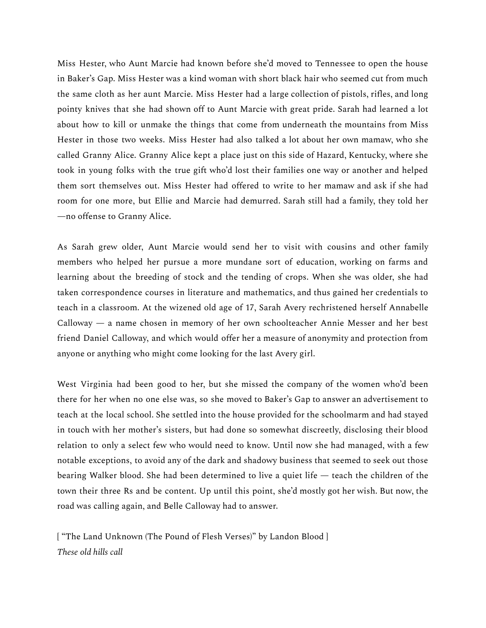Miss Hester, who Aunt Marcie had known before she'd moved to Tennessee to open the house in Baker's Gap. Miss Hester was a kind woman with short black hair who seemed cut from much the same cloth as her aunt Marcie. Miss Hester had a large collection of pistols, rifles, and long pointy knives that she had shown off to Aunt Marcie with great pride. Sarah had learned a lot about how to kill or unmake the things that come from underneath the mountains from Miss Hester in those two weeks. Miss Hester had also talked a lot about her own mamaw, who she called Granny Alice. Granny Alice kept a place just on this side of Hazard, Kentucky, where she took in young folks with the true gift who'd lost their families one way or another and helped them sort themselves out. Miss Hester had offered to write to her mamaw and ask if she had room for one more, but Ellie and Marcie had demurred. Sarah still had a family, they told her —no offense to Granny Alice.

As Sarah grew older, Aunt Marcie would send her to visit with cousins and other family members who helped her pursue a more mundane sort of education, working on farms and learning about the breeding of stock and the tending of crops. When she was older, she had taken correspondence courses in literature and mathematics, and thus gained her credentials to teach in a classroom. At the wizened old age of 17, Sarah Avery rechristened herself Annabelle Calloway — a name chosen in memory of her own schoolteacher Annie Messer and her best friend Daniel Calloway, and which would offer her a measure of anonymity and protection from anyone or anything who might come looking for the last Avery girl.

West Virginia had been good to her, but she missed the company of the women who'd been there for her when no one else was, so she moved to Baker's Gap to answer an advertisement to teach at the local school. She settled into the house provided for the schoolmarm and had stayed in touch with her mother's sisters, but had done so somewhat discreetly, disclosing their blood relation to only a select few who would need to know. Until now she had managed, with a few notable exceptions, to avoid any of the dark and shadowy business that seemed to seek out those bearing Walker blood. She had been determined to live a quiet life — teach the children of the town their three Rs and be content. Up until this point, she'd mostly got her wish. But now, the road was calling again, and Belle Calloway had to answer.

[ "The Land Unknown (The Pound of Flesh Verses)" by Landon Blood ] *These old hills call*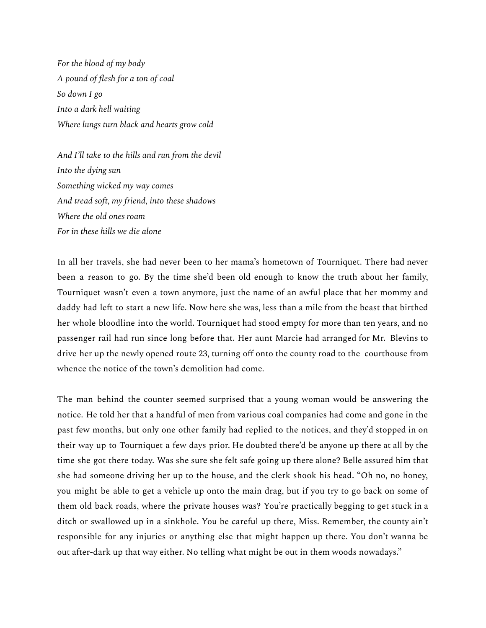*For the blood of my body A pound of flesh for a ton of coal So down I go Into a dark hell waiting Where lungs turn black and hearts grow cold*

*And I'll take to the hills and run from the devil Into the dying sun Something wicked my way comes And tread soft, my friend, into these shadows Where the old ones roam For in these hills we die alone*

In all her travels, she had never been to her mama's hometown of Tourniquet. There had never been a reason to go. By the time she'd been old enough to know the truth about her family, Tourniquet wasn't even a town anymore, just the name of an awful place that her mommy and daddy had left to start a new life. Now here she was, less than a mile from the beast that birthed her whole bloodline into the world. Tourniquet had stood empty for more than ten years, and no passenger rail had run since long before that. Her aunt Marcie had arranged for Mr. Blevins to drive her up the newly opened route 23, turning off onto the county road to the courthouse from whence the notice of the town's demolition had come.

The man behind the counter seemed surprised that a young woman would be answering the notice. He told her that a handful of men from various coal companies had come and gone in the past few months, but only one other family had replied to the notices, and they'd stopped in on their way up to Tourniquet a few days prior. He doubted there'd be anyone up there at all by the time she got there today. Was she sure she felt safe going up there alone? Belle assured him that she had someone driving her up to the house, and the clerk shook his head. "Oh no, no honey, you might be able to get a vehicle up onto the main drag, but if you try to go back on some of them old back roads, where the private houses was? You're practically begging to get stuck in a ditch or swallowed up in a sinkhole. You be careful up there, Miss. Remember, the county ain't responsible for any injuries or anything else that might happen up there. You don't wanna be out after-dark up that way either. No telling what might be out in them woods nowadays."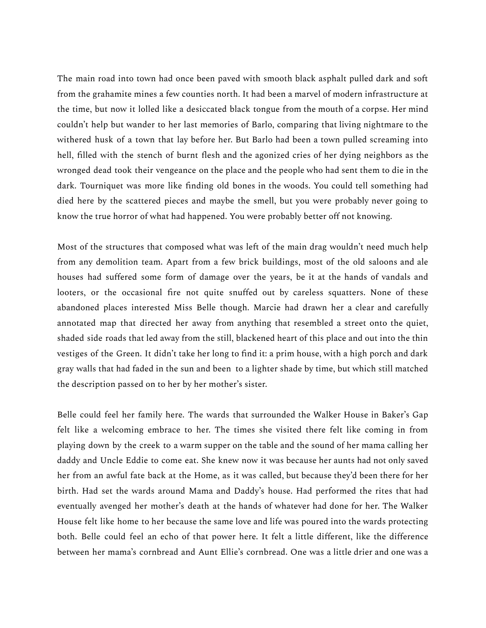The main road into town had once been paved with smooth black asphalt pulled dark and soft from the grahamite mines a few counties north. It had been a marvel of modern infrastructure at the time, but now it lolled like a desiccated black tongue from the mouth of a corpse. Her mind couldn't help but wander to her last memories of Barlo, comparing that living nightmare to the withered husk of a town that lay before her. But Barlo had been a town pulled screaming into hell, filled with the stench of burnt flesh and the agonized cries of her dying neighbors as the wronged dead took their vengeance on the place and the people who had sent them to die in the dark. Tourniquet was more like finding old bones in the woods. You could tell something had died here by the scattered pieces and maybe the smell, but you were probably never going to know the true horror of what had happened. You were probably better off not knowing.

Most of the structures that composed what was left of the main drag wouldn't need much help from any demolition team. Apart from a few brick buildings, most of the old saloons and ale houses had suffered some form of damage over the years, be it at the hands of vandals and looters, or the occasional fire not quite snuffed out by careless squatters. None of these abandoned places interested Miss Belle though. Marcie had drawn her a clear and carefully annotated map that directed her away from anything that resembled a street onto the quiet, shaded side roads that led away from the still, blackened heart of this place and out into the thin vestiges of the Green. It didn't take her long to find it: a prim house, with a high porch and dark gray walls that had faded in the sun and been to a lighter shade by time, but which still matched the description passed on to her by her mother's sister.

Belle could feel her family here. The wards that surrounded the Walker House in Baker's Gap felt like a welcoming embrace to her. The times she visited there felt like coming in from playing down by the creek to a warm supper on the table and the sound of her mama calling her daddy and Uncle Eddie to come eat. She knew now it was because her aunts had not only saved her from an awful fate back at the Home, as it was called, but because they'd been there for her birth. Had set the wards around Mama and Daddy's house. Had performed the rites that had eventually avenged her mother's death at the hands of whatever had done for her. The Walker House felt like home to her because the same love and life was poured into the wards protecting both. Belle could feel an echo of that power here. It felt a little different, like the difference between her mama's cornbread and Aunt Ellie's cornbread. One was a little drier and one was a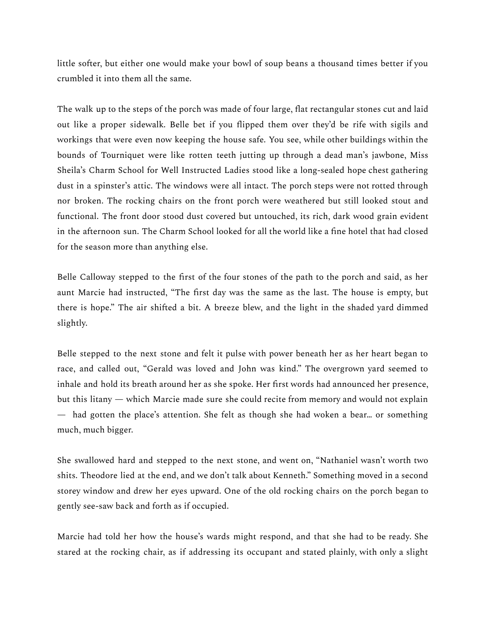little softer, but either one would make your bowl of soup beans a thousand times better if you crumbled it into them all the same.

The walk up to the steps of the porch was made of four large, flat rectangular stones cut and laid out like a proper sidewalk. Belle bet if you flipped them over they'd be rife with sigils and workings that were even now keeping the house safe. You see, while other buildings within the bounds of Tourniquet were like rotten teeth jutting up through a dead man's jawbone, Miss Sheila's Charm School for Well Instructed Ladies stood like a long-sealed hope chest gathering dust in a spinster's attic. The windows were all intact. The porch steps were not rotted through nor broken. The rocking chairs on the front porch were weathered but still looked stout and functional. The front door stood dust covered but untouched, its rich, dark wood grain evident in the afternoon sun. The Charm School looked for all the world like a fine hotel that had closed for the season more than anything else.

Belle Calloway stepped to the first of the four stones of the path to the porch and said, as her aunt Marcie had instructed, "The first day was the same as the last. The house is empty, but there is hope." The air shifted a bit. A breeze blew, and the light in the shaded yard dimmed slightly.

Belle stepped to the next stone and felt it pulse with power beneath her as her heart began to race, and called out, "Gerald was loved and John was kind." The overgrown yard seemed to inhale and hold its breath around her as she spoke. Her first words had announced her presence, but this litany — which Marcie made sure she could recite from memory and would not explain — had gotten the place's attention. She felt as though she had woken a bear… or something much, much bigger.

She swallowed hard and stepped to the next stone, and went on, "Nathaniel wasn't worth two shits. Theodore lied at the end, and we don't talk about Kenneth." Something moved in a second storey window and drew her eyes upward. One of the old rocking chairs on the porch began to gently see-saw back and forth as if occupied.

Marcie had told her how the house's wards might respond, and that she had to be ready. She stared at the rocking chair, as if addressing its occupant and stated plainly, with only a slight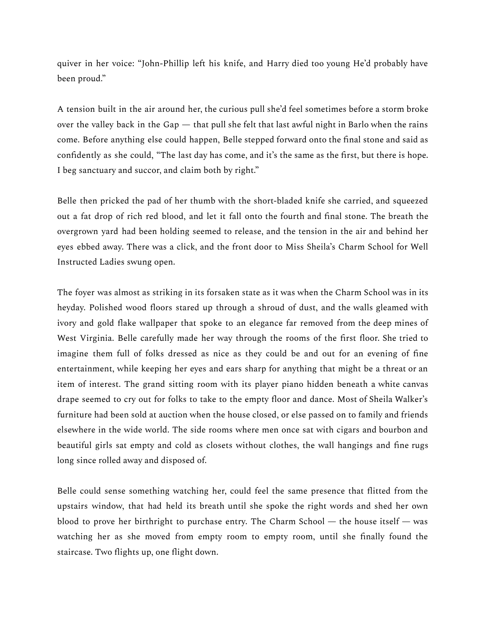quiver in her voice: "John-Phillip left his knife, and Harry died too young He'd probably have been proud."

A tension built in the air around her, the curious pull she'd feel sometimes before a storm broke over the valley back in the Gap — that pull she felt that last awful night in Barlo when the rains come. Before anything else could happen, Belle stepped forward onto the final stone and said as confidently as she could, "The last day has come, and it's the same as the first, but there is hope. I beg sanctuary and succor, and claim both by right."

Belle then pricked the pad of her thumb with the short-bladed knife she carried, and squeezed out a fat drop of rich red blood, and let it fall onto the fourth and final stone. The breath the overgrown yard had been holding seemed to release, and the tension in the air and behind her eyes ebbed away. There was a click, and the front door to Miss Sheila's Charm School for Well Instructed Ladies swung open.

The foyer was almost as striking in its forsaken state as it was when the Charm School was in its heyday. Polished wood floors stared up through a shroud of dust, and the walls gleamed with ivory and gold flake wallpaper that spoke to an elegance far removed from the deep mines of West Virginia. Belle carefully made her way through the rooms of the first floor. She tried to imagine them full of folks dressed as nice as they could be and out for an evening of fine entertainment, while keeping her eyes and ears sharp for anything that might be a threat or an item of interest. The grand sitting room with its player piano hidden beneath a white canvas drape seemed to cry out for folks to take to the empty floor and dance. Most of Sheila Walker's furniture had been sold at auction when the house closed, or else passed on to family and friends elsewhere in the wide world. The side rooms where men once sat with cigars and bourbon and beautiful girls sat empty and cold as closets without clothes, the wall hangings and fine rugs long since rolled away and disposed of.

Belle could sense something watching her, could feel the same presence that flitted from the upstairs window, that had held its breath until she spoke the right words and shed her own blood to prove her birthright to purchase entry. The Charm School — the house itself — was watching her as she moved from empty room to empty room, until she finally found the staircase. Two flights up, one flight down.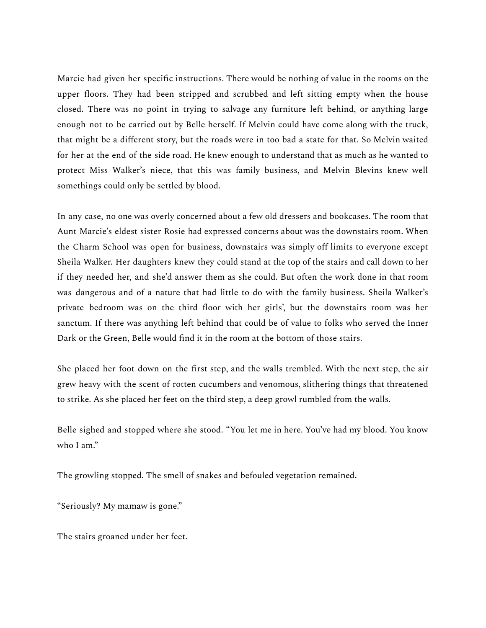Marcie had given her specific instructions. There would be nothing of value in the rooms on the upper floors. They had been stripped and scrubbed and left sitting empty when the house closed. There was no point in trying to salvage any furniture left behind, or anything large enough not to be carried out by Belle herself. If Melvin could have come along with the truck, that might be a different story, but the roads were in too bad a state for that. So Melvin waited for her at the end of the side road. He knew enough to understand that as much as he wanted to protect Miss Walker's niece, that this was family business, and Melvin Blevins knew well somethings could only be settled by blood.

In any case, no one was overly concerned about a few old dressers and bookcases. The room that Aunt Marcie's eldest sister Rosie had expressed concerns about was the downstairs room. When the Charm School was open for business, downstairs was simply off limits to everyone except Sheila Walker. Her daughters knew they could stand at the top of the stairs and call down to her if they needed her, and she'd answer them as she could. But often the work done in that room was dangerous and of a nature that had little to do with the family business. Sheila Walker's private bedroom was on the third floor with her girls', but the downstairs room was her sanctum. If there was anything left behind that could be of value to folks who served the Inner Dark or the Green, Belle would find it in the room at the bottom of those stairs.

She placed her foot down on the first step, and the walls trembled. With the next step, the air grew heavy with the scent of rotten cucumbers and venomous, slithering things that threatened to strike. As she placed her feet on the third step, a deep growl rumbled from the walls.

Belle sighed and stopped where she stood. "You let me in here. You've had my blood. You know who I am."

The growling stopped. The smell of snakes and befouled vegetation remained.

"Seriously? My mamaw is gone."

The stairs groaned under her feet.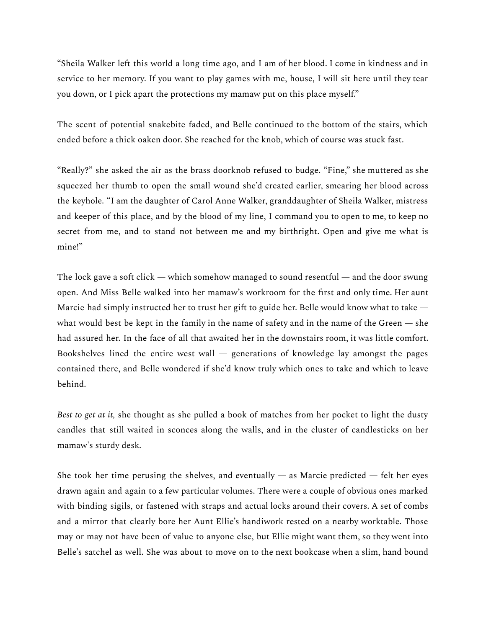"Sheila Walker left this world a long time ago, and I am of her blood. I come in kindness and in service to her memory. If you want to play games with me, house, I will sit here until they tear you down, or I pick apart the protections my mamaw put on this place myself."

The scent of potential snakebite faded, and Belle continued to the bottom of the stairs, which ended before a thick oaken door. She reached for the knob, which of course was stuck fast.

"Really?" she asked the air as the brass doorknob refused to budge. "Fine," she muttered as she squeezed her thumb to open the small wound she'd created earlier, smearing her blood across the keyhole. "I am the daughter of Carol Anne Walker, granddaughter of Sheila Walker, mistress and keeper of this place, and by the blood of my line, I command you to open to me, to keep no secret from me, and to stand not between me and my birthright. Open and give me what is mine!"

The lock gave a soft click — which somehow managed to sound resentful — and the door swung open. And Miss Belle walked into her mamaw's workroom for the first and only time. Her aunt Marcie had simply instructed her to trust her gift to guide her. Belle would know what to take what would best be kept in the family in the name of safety and in the name of the Green — she had assured her. In the face of all that awaited her in the downstairs room, it was little comfort. Bookshelves lined the entire west wall  $-$  generations of knowledge lay amongst the pages contained there, and Belle wondered if she'd know truly which ones to take and which to leave behind.

*Best to get at it,* she thought as she pulled a book of matches from her pocket to light the dusty candles that still waited in sconces along the walls, and in the cluster of candlesticks on her mamaw's sturdy desk.

She took her time perusing the shelves, and eventually — as Marcie predicted — felt her eyes drawn again and again to a few particular volumes. There were a couple of obvious ones marked with binding sigils, or fastened with straps and actual locks around their covers. A set of combs and a mirror that clearly bore her Aunt Ellie's handiwork rested on a nearby worktable. Those may or may not have been of value to anyone else, but Ellie might want them, so they went into Belle's satchel as well. She was about to move on to the next bookcase when a slim, hand bound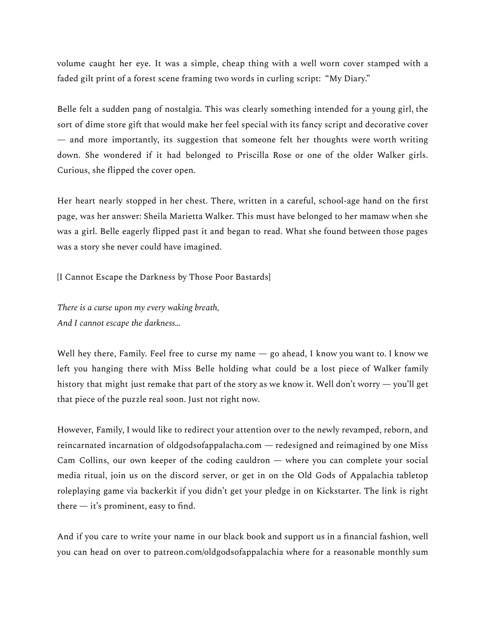volume caught her eye. It was a simple, cheap thing with a well worn cover stamped with a faded gilt print of a forest scene framing two words in curling script: "My Diary."

Belle felt a sudden pang of nostalgia. This was clearly something intended for a young girl, the sort of dime store gift that would make her feel special with its fancy script and decorative cover — and more importantly, its suggestion that someone felt her thoughts were worth writing down. She wondered if it had belonged to Priscilla Rose or one of the older Walker girls. Curious, she flipped the cover open.

Her heart nearly stopped in her chest. There, written in a careful, school-age hand on the first page, was her answer: Sheila Marietta Walker. This must have belonged to her mamaw when she was a girl. Belle eagerly flipped past it and began to read. What she found between those pages was a story she never could have imagined.

[I Cannot Escape the Darkness by Those Poor Bastards]

*There is a curse upon my every waking breath, And I cannot escape the darkness…*

Well hey there, Family. Feel free to curse my name — go ahead, I know you want to. I know we left you hanging there with Miss Belle holding what could be a lost piece of Walker family history that might just remake that part of the story as we know it. Well don't worry — you'll get that piece of the puzzle real soon. Just not right now.

However, Family, I would like to redirect your attention over to the newly revamped, reborn, and reincarnated incarnation of oldgodsofappalacha.com — redesigned and reimagined by one Miss Cam Collins, our own keeper of the coding cauldron — where you can complete your social media ritual, join us on the discord server, or get in on the Old Gods of Appalachia tabletop roleplaying game via backerkit if you didn't get your pledge in on Kickstarter. The link is right there  $-$  it's prominent, easy to find.

And if you care to write your name in our black book and support us in a financial fashion, well you can head on over to patreon.com/oldgodsofappalachia where for a reasonable monthly sum